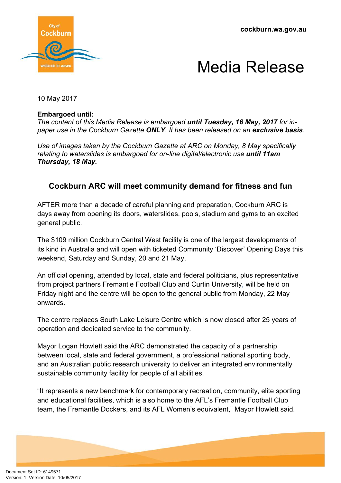**cockburn.wa.gov.au**



## Media Release

10 May 2017

## **Embargoed until:**

*The content of this Media Release is embargoed until Tuesday, 16 May, 2017 for inpaper use in the Cockburn Gazette ONLY. It has been released on an exclusive basis.*

*Use of images taken by the Cockburn Gazette at ARC on Monday, 8 May specifically relating to waterslides is embargoed for on-line digital/electronic use until 11am Thursday, 18 May.* 

## **Cockburn ARC will meet community demand for fitness and fun**

AFTER more than a decade of careful planning and preparation, Cockburn ARC is days away from opening its doors, waterslides, pools, stadium and gyms to an excited general public.

The \$109 million Cockburn Central West facility is one of the largest developments of its kind in Australia and will open with ticketed Community 'Discover' Opening Days this weekend, Saturday and Sunday, 20 and 21 May.

An official opening, attended by local, state and federal politicians, plus representative from project partners Fremantle Football Club and Curtin University, will be held on Friday night and the centre will be open to the general public from Monday, 22 May onwards.

The centre replaces South Lake Leisure Centre which is now closed after 25 years of operation and dedicated service to the community.

Mayor Logan Howlett said the ARC demonstrated the capacity of a partnership between local, state and federal government, a professional national sporting body, and an Australian public research university to deliver an integrated environmentally sustainable community facility for people of all abilities.

"It represents a new benchmark for contemporary recreation, community, elite sporting and educational facilities, which is also home to the AFL's Fremantle Football Club team, the Fremantle Dockers, and its AFL Women's equivalent," Mayor Howlett said.

Document Set ID: 6149571<br>Version: 1, Version Date: 10/05/2017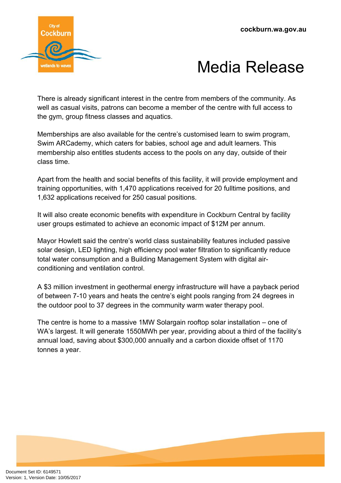

## Media Release

There is already significant interest in the centre from members of the community. As well as casual visits, patrons can become a member of the centre with full access to the gym, group fitness classes and aquatics.

Memberships are also available for the centre's customised learn to swim program, Swim ARCademy, which caters for babies, school age and adult learners. This membership also entitles students access to the pools on any day, outside of their class time.

Apart from the health and social benefits of this facility, it will provide employment and training opportunities, with 1,470 applications received for 20 fulltime positions, and 1,632 applications received for 250 casual positions.

It will also create economic benefits with expenditure in Cockburn Central by facility user groups estimated to achieve an economic impact of \$12M per annum.

Mayor Howlett said the centre's world class sustainability features included passive solar design, LED lighting, high efficiency pool water filtration to significantly reduce total water consumption and a Building Management System with digital airconditioning and ventilation control.

A \$3 million investment in geothermal energy infrastructure will have a payback period of between 7-10 years and heats the centre's eight pools ranging from 24 degrees in the outdoor pool to 37 degrees in the community warm water therapy pool.

The centre is home to a massive 1MW Solargain rooftop solar installation – one of WA's largest. It will generate 1550MWh per year, providing about a third of the facility's annual load, saving about \$300,000 annually and a carbon dioxide offset of 1170 tonnes a year.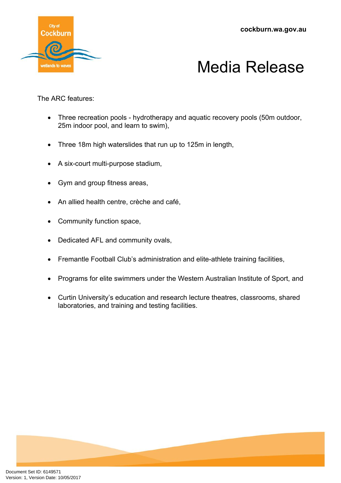**cockburn.wa.gov.au**





The ARC features:

- Three recreation pools hydrotherapy and aquatic recovery pools (50m outdoor, 25m indoor pool, and learn to swim),
- Three 18m high waterslides that run up to 125m in length,
- A six-court multi-purpose stadium,
- Gym and group fitness areas,
- An allied health centre, crèche and café,
- Community function space,
- Dedicated AFL and community ovals,
- Fremantle Football Club's administration and elite-athlete training facilities,
- Programs for elite swimmers under the Western Australian Institute of Sport, and
- Curtin University's education and research lecture theatres, classrooms, shared laboratories, and training and testing facilities.